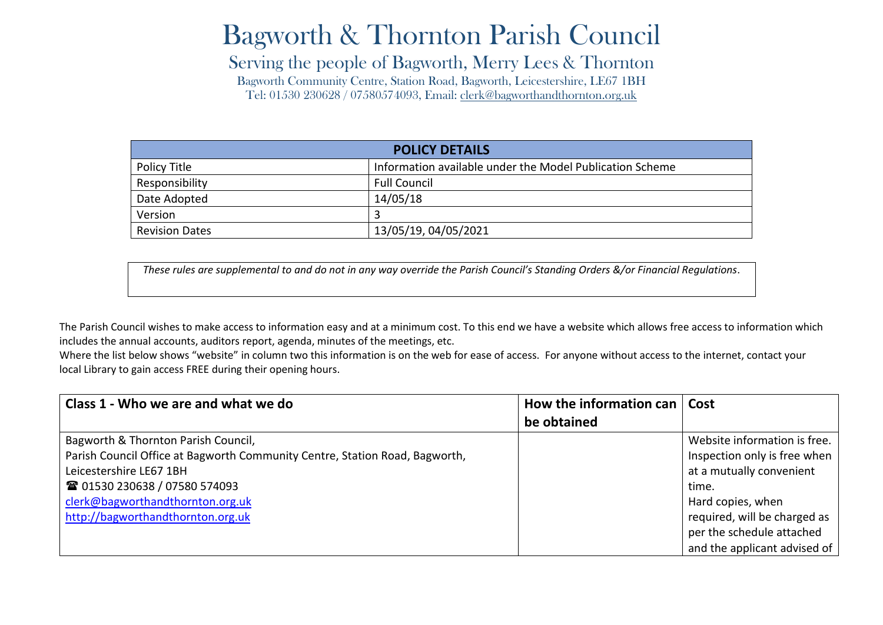## Bagworth & Thornton Parish Council

Serving the people of Bagworth, Merry Lees & Thornton

Bagworth Community Centre, Station Road, Bagworth, Leicestershire, LE67 1BH Tel: 01530 230628 / 07580574093, Email: [clerk@bagworthandthornton.org.uk](mailto:clerk@bagworthandthornton.org.uk)

| <b>POLICY DETAILS</b> |                                                          |  |
|-----------------------|----------------------------------------------------------|--|
| Policy Title          | Information available under the Model Publication Scheme |  |
| Responsibility        | <b>Full Council</b>                                      |  |
| Date Adopted          | 14/05/18                                                 |  |
| Version               |                                                          |  |
| <b>Revision Dates</b> | 13/05/19, 04/05/2021                                     |  |

*These rules are supplemental to and do not in any way override the Parish Council's Standing Orders &/or Financial Regulations*.

The Parish Council wishes to make access to information easy and at a minimum cost. To this end we have a website which allows free access to information which includes the annual accounts, auditors report, agenda, minutes of the meetings, etc.

Where the list below shows "website" in column two this information is on the web for ease of access. For anyone without access to the internet, contact your local Library to gain access FREE during their opening hours.

| Class 1 - Who we are and what we do                                         | How the information can | Cost                         |
|-----------------------------------------------------------------------------|-------------------------|------------------------------|
|                                                                             | be obtained             |                              |
| Bagworth & Thornton Parish Council,                                         |                         | Website information is free. |
| Parish Council Office at Bagworth Community Centre, Station Road, Bagworth, |                         | Inspection only is free when |
| Leicestershire LE67 1BH                                                     |                         | at a mutually convenient     |
| 28 01530 230638 / 07580 574093                                              |                         | time.                        |
| clerk@bagworthandthornton.org.uk                                            |                         | Hard copies, when            |
| http://bagworthandthornton.org.uk                                           |                         | required, will be charged as |
|                                                                             |                         | per the schedule attached    |
|                                                                             |                         | and the applicant advised of |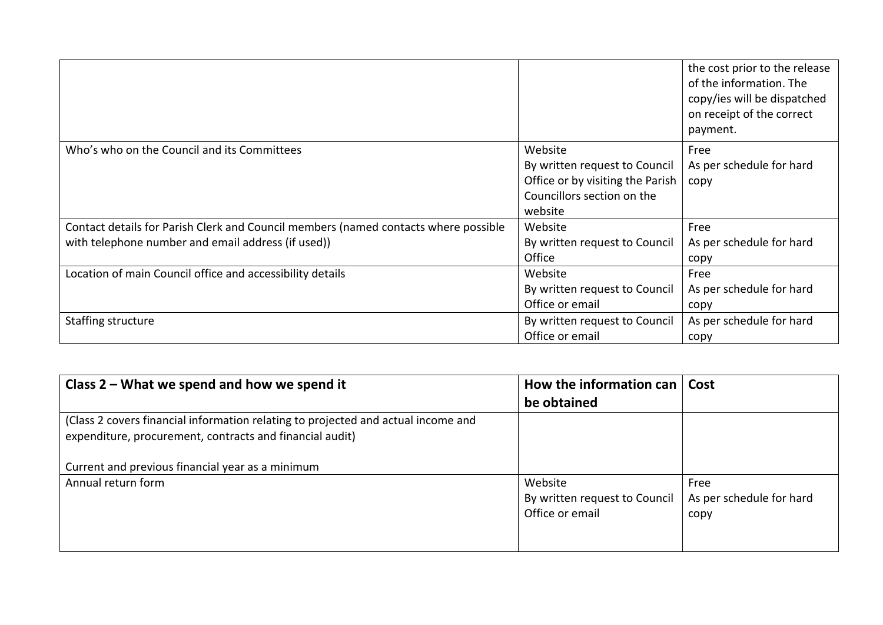|                                                                                     |                                                                                                                       | the cost prior to the release<br>of the information. The<br>copy/ies will be dispatched<br>on receipt of the correct<br>payment. |
|-------------------------------------------------------------------------------------|-----------------------------------------------------------------------------------------------------------------------|----------------------------------------------------------------------------------------------------------------------------------|
| Who's who on the Council and its Committees                                         | Website<br>By written request to Council<br>Office or by visiting the Parish<br>Councillors section on the<br>website | Free<br>As per schedule for hard<br>copy                                                                                         |
| Contact details for Parish Clerk and Council members (named contacts where possible | Website                                                                                                               | Free                                                                                                                             |
| with telephone number and email address (if used))                                  | By written request to Council                                                                                         | As per schedule for hard                                                                                                         |
|                                                                                     | Office                                                                                                                | copy                                                                                                                             |
| Location of main Council office and accessibility details                           | Website                                                                                                               | Free                                                                                                                             |
|                                                                                     | By written request to Council                                                                                         | As per schedule for hard                                                                                                         |
|                                                                                     | Office or email                                                                                                       | copy                                                                                                                             |
| Staffing structure                                                                  | By written request to Council                                                                                         | As per schedule for hard                                                                                                         |
|                                                                                     | Office or email                                                                                                       | copy                                                                                                                             |

| Class $2$ – What we spend and how we spend it                                     | How the information can       | Cost                     |
|-----------------------------------------------------------------------------------|-------------------------------|--------------------------|
|                                                                                   | be obtained                   |                          |
| (Class 2 covers financial information relating to projected and actual income and |                               |                          |
| expenditure, procurement, contracts and financial audit)                          |                               |                          |
|                                                                                   |                               |                          |
| Current and previous financial year as a minimum                                  |                               |                          |
| Annual return form                                                                | Website                       | Free                     |
|                                                                                   | By written request to Council | As per schedule for hard |
|                                                                                   | Office or email               | copy                     |
|                                                                                   |                               |                          |
|                                                                                   |                               |                          |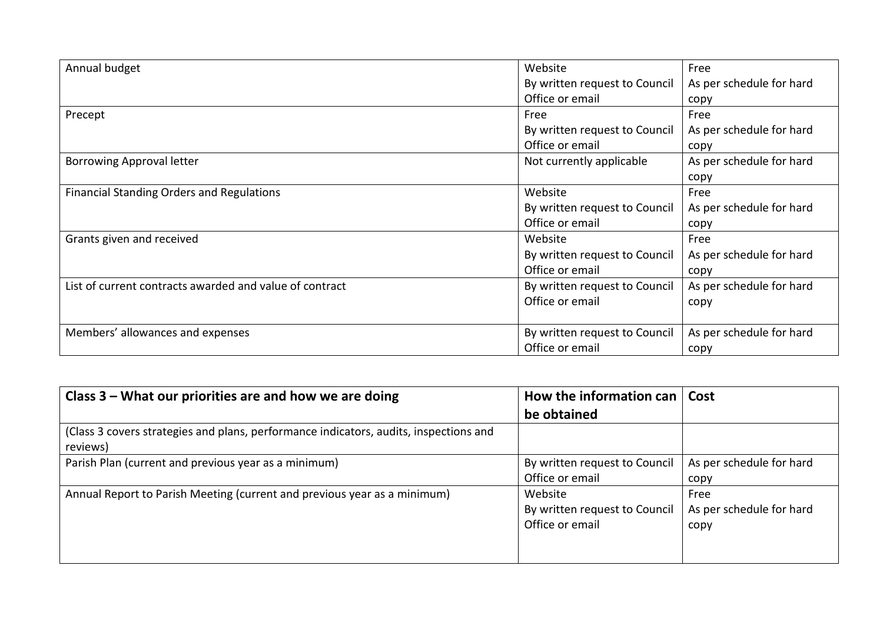| Annual budget                                           | Website                       | Free                     |
|---------------------------------------------------------|-------------------------------|--------------------------|
|                                                         | By written request to Council | As per schedule for hard |
|                                                         | Office or email               | copy                     |
| Precept                                                 | Free                          | Free                     |
|                                                         | By written request to Council | As per schedule for hard |
|                                                         | Office or email               | copy                     |
| <b>Borrowing Approval letter</b>                        | Not currently applicable      | As per schedule for hard |
|                                                         |                               | copy                     |
| <b>Financial Standing Orders and Regulations</b>        | Website                       | Free                     |
|                                                         | By written request to Council | As per schedule for hard |
|                                                         | Office or email               | copy                     |
| Grants given and received                               | Website                       | Free                     |
|                                                         | By written request to Council | As per schedule for hard |
|                                                         | Office or email               | copy                     |
| List of current contracts awarded and value of contract | By written request to Council | As per schedule for hard |
|                                                         | Office or email               | copy                     |
|                                                         |                               |                          |
| Members' allowances and expenses                        | By written request to Council | As per schedule for hard |
|                                                         | Office or email               | copy                     |

| Class 3 – What our priorities are and how we are doing                                            | How the information can $ $   | Cost                     |
|---------------------------------------------------------------------------------------------------|-------------------------------|--------------------------|
|                                                                                                   | be obtained                   |                          |
| (Class 3 covers strategies and plans, performance indicators, audits, inspections and<br>reviews) |                               |                          |
| Parish Plan (current and previous year as a minimum)                                              | By written request to Council | As per schedule for hard |
|                                                                                                   | Office or email               | copy                     |
| Annual Report to Parish Meeting (current and previous year as a minimum)                          | Website                       | Free                     |
|                                                                                                   | By written request to Council | As per schedule for hard |
|                                                                                                   | Office or email               | copy                     |
|                                                                                                   |                               |                          |
|                                                                                                   |                               |                          |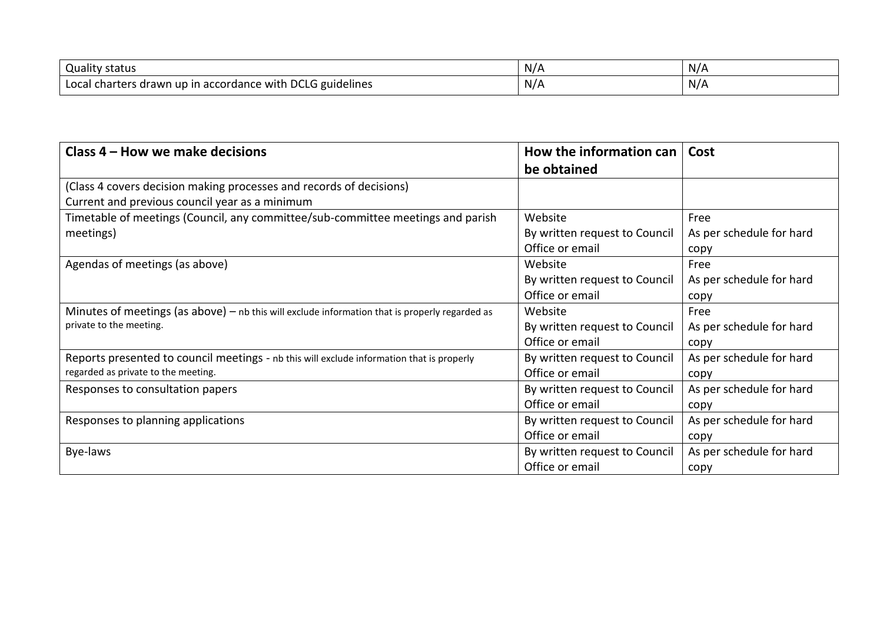| <b>Quality status</b>                                                                                            | NZ.      | N/A |
|------------------------------------------------------------------------------------------------------------------|----------|-----|
| <b>DCLG</b><br>. .<br>$\sim$<br>charters<br>i accordance with i<br>guidelines<br>Local<br>, drawn up in<br>1.011 | N/<br>м. | N/A |

| Class 4 – How we make decisions                                                                  | How the information can<br>be obtained | Cost                     |
|--------------------------------------------------------------------------------------------------|----------------------------------------|--------------------------|
| (Class 4 covers decision making processes and records of decisions)                              |                                        |                          |
| Current and previous council year as a minimum                                                   |                                        |                          |
| Timetable of meetings (Council, any committee/sub-committee meetings and parish                  | Website                                | Free                     |
| meetings)                                                                                        | By written request to Council          | As per schedule for hard |
|                                                                                                  | Office or email                        | copy                     |
| Agendas of meetings (as above)                                                                   | Website                                | Free                     |
|                                                                                                  | By written request to Council          | As per schedule for hard |
|                                                                                                  | Office or email                        | copy                     |
| Minutes of meetings (as above) $-$ nb this will exclude information that is properly regarded as | Website                                | Free                     |
| private to the meeting.                                                                          | By written request to Council          | As per schedule for hard |
|                                                                                                  | Office or email                        | copy                     |
| Reports presented to council meetings - nb this will exclude information that is properly        | By written request to Council          | As per schedule for hard |
| regarded as private to the meeting.                                                              | Office or email                        | copy                     |
| Responses to consultation papers                                                                 | By written request to Council          | As per schedule for hard |
|                                                                                                  | Office or email                        | copy                     |
| Responses to planning applications                                                               | By written request to Council          | As per schedule for hard |
|                                                                                                  | Office or email                        | copy                     |
| Bye-laws                                                                                         | By written request to Council          | As per schedule for hard |
|                                                                                                  | Office or email                        | copy                     |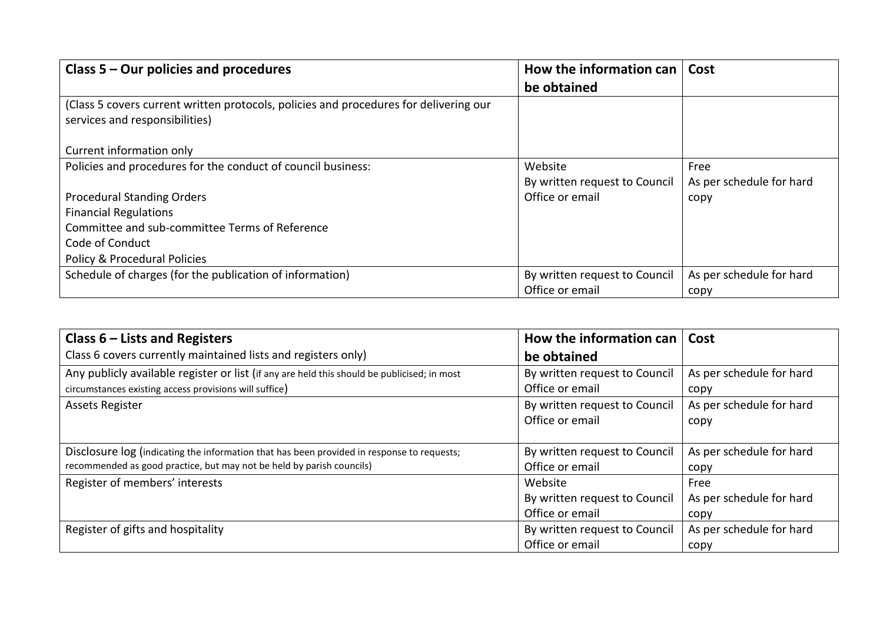| Class $5 -$ Our policies and procedures                                                                                 | How the information can<br>be obtained   | Cost                             |
|-------------------------------------------------------------------------------------------------------------------------|------------------------------------------|----------------------------------|
| (Class 5 covers current written protocols, policies and procedures for delivering our<br>services and responsibilities) |                                          |                                  |
| Current information only                                                                                                |                                          |                                  |
| Policies and procedures for the conduct of council business:                                                            | Website<br>By written request to Council | Free<br>As per schedule for hard |
| <b>Procedural Standing Orders</b>                                                                                       | Office or email                          | copy                             |
| <b>Financial Regulations</b>                                                                                            |                                          |                                  |
| Committee and sub-committee Terms of Reference                                                                          |                                          |                                  |
| Code of Conduct                                                                                                         |                                          |                                  |
| Policy & Procedural Policies                                                                                            |                                          |                                  |
| Schedule of charges (for the publication of information)                                                                | By written request to Council            | As per schedule for hard         |
|                                                                                                                         | Office or email                          | copy                             |

| Class $6$ – Lists and Registers                                                             | How the information can       | Cost                     |
|---------------------------------------------------------------------------------------------|-------------------------------|--------------------------|
| Class 6 covers currently maintained lists and registers only)                               | be obtained                   |                          |
| Any publicly available register or list (if any are held this should be publicised; in most | By written request to Council | As per schedule for hard |
| circumstances existing access provisions will suffice)                                      | Office or email               | copy                     |
| <b>Assets Register</b>                                                                      | By written request to Council | As per schedule for hard |
|                                                                                             | Office or email               | copy                     |
|                                                                                             |                               |                          |
| Disclosure log (indicating the information that has been provided in response to requests;  | By written request to Council | As per schedule for hard |
| recommended as good practice, but may not be held by parish councils)                       | Office or email               | copy                     |
| Register of members' interests                                                              | Website                       | Free                     |
|                                                                                             | By written request to Council | As per schedule for hard |
|                                                                                             | Office or email               | copy                     |
| Register of gifts and hospitality                                                           | By written request to Council | As per schedule for hard |
|                                                                                             | Office or email               | copy                     |